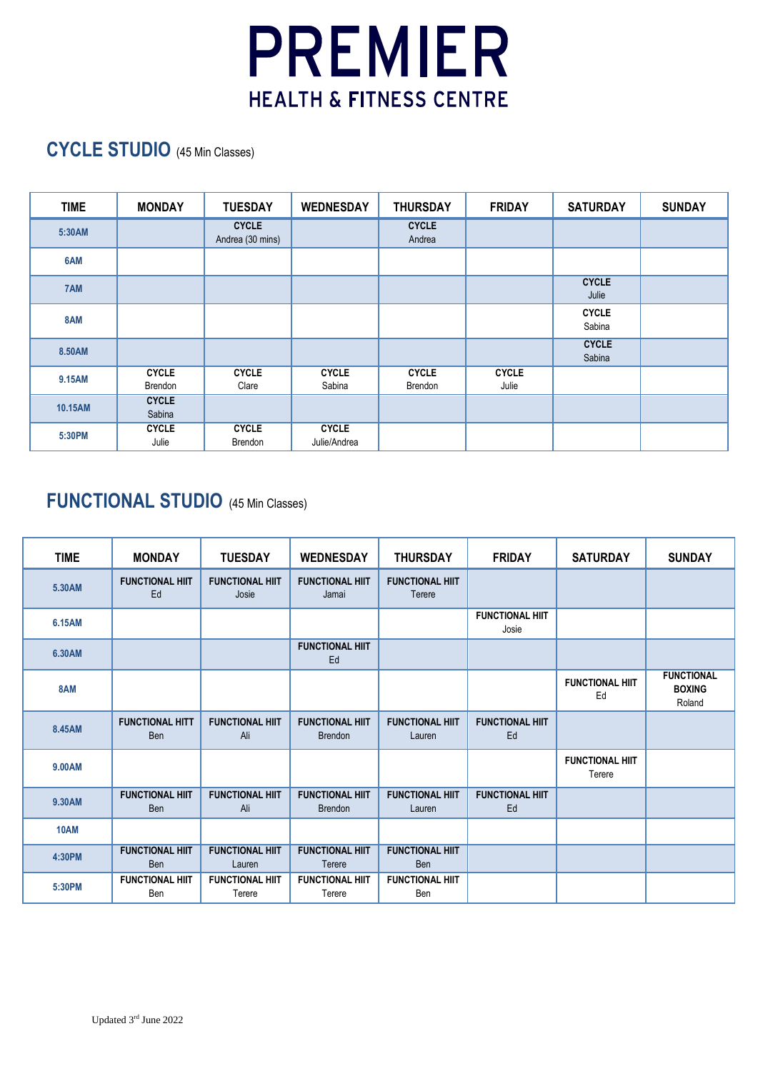

## **CYCLE STUDIO** (45 Min Classes)

| <b>TIME</b> | <b>MONDAY</b>           | <b>TUESDAY</b>                   | <b>WEDNESDAY</b>             | <b>THURSDAY</b>         | <b>FRIDAY</b>         | <b>SATURDAY</b>        | <b>SUNDAY</b> |
|-------------|-------------------------|----------------------------------|------------------------------|-------------------------|-----------------------|------------------------|---------------|
| 5:30AM      |                         | <b>CYCLE</b><br>Andrea (30 mins) |                              | <b>CYCLE</b><br>Andrea  |                       |                        |               |
| 6AM         |                         |                                  |                              |                         |                       |                        |               |
| 7AM         |                         |                                  |                              |                         |                       | <b>CYCLE</b><br>Julie  |               |
| 8AM         |                         |                                  |                              |                         |                       | <b>CYCLE</b><br>Sabina |               |
| 8.50AM      |                         |                                  |                              |                         |                       | <b>CYCLE</b><br>Sabina |               |
| 9.15AM      | <b>CYCLE</b><br>Brendon | <b>CYCLE</b><br>Clare            | <b>CYCLE</b><br>Sabina       | <b>CYCLE</b><br>Brendon | <b>CYCLE</b><br>Julie |                        |               |
| 10.15AM     | <b>CYCLE</b><br>Sabina  |                                  |                              |                         |                       |                        |               |
| 5:30PM      | <b>CYCLE</b><br>Julie   | <b>CYCLE</b><br>Brendon          | <b>CYCLE</b><br>Julie/Andrea |                         |                       |                        |               |

## **FUNCTIONAL STUDIO** (45 Min Classes)

| <b>TIME</b> | <b>MONDAY</b>                        | <b>TUESDAY</b>                   | <b>WEDNESDAY</b>                         | <b>THURSDAY</b>                      | <b>FRIDAY</b>                   | <b>SATURDAY</b>                  | <b>SUNDAY</b>                                |
|-------------|--------------------------------------|----------------------------------|------------------------------------------|--------------------------------------|---------------------------------|----------------------------------|----------------------------------------------|
| 5.30AM      | <b>FUNCTIONAL HIIT</b><br>Ed         | <b>FUNCTIONAL HIIT</b><br>Josie  | <b>FUNCTIONAL HIIT</b><br>Jamai          | <b>FUNCTIONAL HIIT</b><br>Terere     |                                 |                                  |                                              |
| 6.15AM      |                                      |                                  |                                          |                                      | <b>FUNCTIONAL HIIT</b><br>Josie |                                  |                                              |
| 6.30AM      |                                      |                                  | <b>FUNCTIONAL HIIT</b><br>Ed             |                                      |                                 |                                  |                                              |
| 8AM         |                                      |                                  |                                          |                                      |                                 | <b>FUNCTIONAL HIIT</b><br>Ed     | <b>FUNCTIONAL</b><br><b>BOXING</b><br>Roland |
| 8.45AM      | <b>FUNCTIONAL HITT</b><br><b>Ben</b> | <b>FUNCTIONAL HIIT</b><br>Ali    | <b>FUNCTIONAL HIIT</b><br><b>Brendon</b> | <b>FUNCTIONAL HIIT</b><br>Lauren     | <b>FUNCTIONAL HIIT</b><br>Ed    |                                  |                                              |
| 9.00AM      |                                      |                                  |                                          |                                      |                                 | <b>FUNCTIONAL HIIT</b><br>Terere |                                              |
| 9.30AM      | <b>FUNCTIONAL HIIT</b><br><b>Ben</b> | <b>FUNCTIONAL HIIT</b><br>Ali    | <b>FUNCTIONAL HIIT</b><br><b>Brendon</b> | <b>FUNCTIONAL HIIT</b><br>Lauren     | <b>FUNCTIONAL HIIT</b><br>Ed    |                                  |                                              |
| <b>10AM</b> |                                      |                                  |                                          |                                      |                                 |                                  |                                              |
| 4:30PM      | <b>FUNCTIONAL HIIT</b><br><b>Ben</b> | <b>FUNCTIONAL HIIT</b><br>Lauren | <b>FUNCTIONAL HIIT</b><br>Terere         | <b>FUNCTIONAL HIIT</b><br><b>Ben</b> |                                 |                                  |                                              |
| 5:30PM      | <b>FUNCTIONAL HIIT</b><br>Ben        | <b>FUNCTIONAL HIIT</b><br>Terere | <b>FUNCTIONAL HIIT</b><br>Terere         | <b>FUNCTIONAL HIIT</b><br>Ben        |                                 |                                  |                                              |